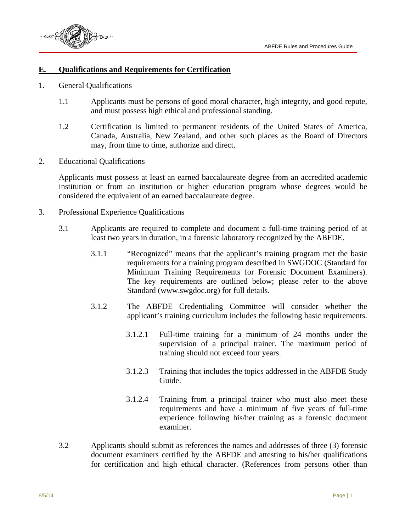

## **E. Qualifications and Requirements for Certification**

- 1. General Qualifications
	- 1.1 Applicants must be persons of good moral character, high integrity, and good repute, and must possess high ethical and professional standing.
	- 1.2 Certification is limited to permanent residents of the United States of America, Canada, Australia, New Zealand, and other such places as the Board of Directors may, from time to time, authorize and direct.
- 2. Educational Qualifications

Applicants must possess at least an earned baccalaureate degree from an accredited academic institution or from an institution or higher education program whose degrees would be considered the equivalent of an earned baccalaureate degree.

- 3. Professional Experience Qualifications
	- 3.1 Applicants are required to complete and document a full-time training period of at least two years in duration, in a forensic laboratory recognized by the ABFDE.
		- 3.1.1 "Recognized" means that the applicant's training program met the basic requirements for a training program described in SWGDOC (Standard for Minimum Training Requirements for Forensic Document Examiners). The key requirements are outlined below; please refer to the above Standard (www.swgdoc.org) for full details.
		- 3.1.2 The ABFDE Credentialing Committee will consider whether the applicant's training curriculum includes the following basic requirements.
			- 3.1.2.1 Full-time training for a minimum of 24 months under the supervision of a principal trainer. The maximum period of training should not exceed four years.
			- 3.1.2.3 Training that includes the topics addressed in the ABFDE Study Guide.
			- 3.1.2.4 Training from a principal trainer who must also meet these requirements and have a minimum of five years of full-time experience following his/her training as a forensic document examiner.
	- 3.2 Applicants should submit as references the names and addresses of three (3) forensic document examiners certified by the ABFDE and attesting to his/her qualifications for certification and high ethical character. (References from persons other than